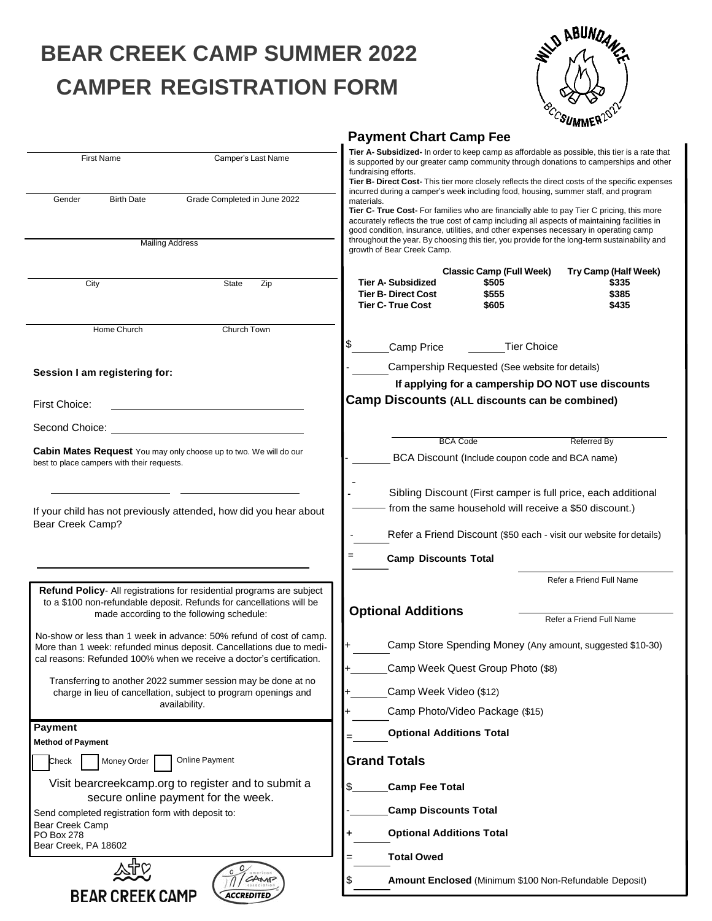## **BEAR CREEK CAMP SUMMER 2022 CAMPER REGISTRATION FORM**

| <b>BUNDA</b>                       |  |
|------------------------------------|--|
|                                    |  |
|                                    |  |
|                                    |  |
| <sup>C</sup> CSUMMER <sup>20</sup> |  |

|                                                                                                                                                                                                                     | <b>Payment Chart Camp Fee</b>                                                                                                                                                                                                                                                                                                                                                                          |  |  |  |
|---------------------------------------------------------------------------------------------------------------------------------------------------------------------------------------------------------------------|--------------------------------------------------------------------------------------------------------------------------------------------------------------------------------------------------------------------------------------------------------------------------------------------------------------------------------------------------------------------------------------------------------|--|--|--|
| <b>First Name</b><br>Camper's Last Name                                                                                                                                                                             | Tier A- Subsidized- In order to keep camp as affordable as possible, this tier is a rate that<br>is supported by our greater camp community through donations to camperships and other<br>fundraising efforts.<br>Tier B- Direct Cost- This tier more closely reflects the direct costs of the specific expenses<br>incurred during a camper's week including food, housing, summer staff, and program |  |  |  |
| <b>Birth Date</b><br>Grade Completed in June 2022<br>Gender                                                                                                                                                         | materials.<br>Tier C- True Cost- For families who are financially able to pay Tier C pricing, this more<br>accurately reflects the true cost of camp including all aspects of maintaining facilities in<br>good condition, insurance, utilities, and other expenses necessary in operating camp                                                                                                        |  |  |  |
| <b>Mailing Address</b>                                                                                                                                                                                              | throughout the year. By choosing this tier, you provide for the long-term sustainability and<br>growth of Bear Creek Camp.                                                                                                                                                                                                                                                                             |  |  |  |
| <b>State</b><br>City<br>Zip                                                                                                                                                                                         | Try Camp (Half Week)<br><b>Classic Camp (Full Week)</b><br>\$335<br>Tier A- Subsidized<br>\$505<br>\$385<br><b>Tier B- Direct Cost</b><br>\$555<br>\$435<br><b>Tier C- True Cost</b><br>\$605                                                                                                                                                                                                          |  |  |  |
| Church Town<br>Home Church                                                                                                                                                                                          | \$<br><b>Tier Choice</b><br>Camp Price                                                                                                                                                                                                                                                                                                                                                                 |  |  |  |
| Session I am registering for:                                                                                                                                                                                       | Campership Requested (See website for details)                                                                                                                                                                                                                                                                                                                                                         |  |  |  |
|                                                                                                                                                                                                                     | If applying for a campership DO NOT use discounts                                                                                                                                                                                                                                                                                                                                                      |  |  |  |
| <b>First Choice:</b>                                                                                                                                                                                                | <b>Camp Discounts (ALL discounts can be combined)</b>                                                                                                                                                                                                                                                                                                                                                  |  |  |  |
| Second Choice:                                                                                                                                                                                                      |                                                                                                                                                                                                                                                                                                                                                                                                        |  |  |  |
| <b>Cabin Mates Request</b> You may only choose up to two. We will do our<br>best to place campers with their requests.                                                                                              | <b>BCA Code</b><br><b>Referred By</b><br>BCA Discount (Include coupon code and BCA name)                                                                                                                                                                                                                                                                                                               |  |  |  |
| If your child has not previously attended, how did you hear about<br>Bear Creek Camp?                                                                                                                               | Sibling Discount (First camper is full price, each additional<br>from the same household will receive a \$50 discount.)<br>Refer a Friend Discount (\$50 each - visit our website for details)<br><b>Camp Discounts Total</b>                                                                                                                                                                          |  |  |  |
|                                                                                                                                                                                                                     |                                                                                                                                                                                                                                                                                                                                                                                                        |  |  |  |
| Refund Policy- All registrations for residential programs are subject<br>to a \$100 non-refundable deposit. Refunds for cancellations will be<br>made according to the following schedule:                          | Refer a Friend Full Name<br><b>Optional Additions</b><br>Refer a Friend Full Name                                                                                                                                                                                                                                                                                                                      |  |  |  |
| No-show or less than 1 week in advance: 50% refund of cost of camp.<br>More than 1 week: refunded minus deposit. Cancellations due to medi-<br>cal reasons: Refunded 100% when we receive a doctor's certification. | Camp Store Spending Money (Any amount, suggested \$10-30)                                                                                                                                                                                                                                                                                                                                              |  |  |  |
| Transferring to another 2022 summer session may be done at no                                                                                                                                                       | Camp Week Quest Group Photo (\$8)                                                                                                                                                                                                                                                                                                                                                                      |  |  |  |
| charge in lieu of cancellation, subject to program openings and<br>availability.                                                                                                                                    | Camp Week Video (\$12)<br>Camp Photo/Video Package (\$15)                                                                                                                                                                                                                                                                                                                                              |  |  |  |
| <b>Payment</b>                                                                                                                                                                                                      |                                                                                                                                                                                                                                                                                                                                                                                                        |  |  |  |
| <b>Method of Payment</b>                                                                                                                                                                                            | <b>Optional Additions Total</b>                                                                                                                                                                                                                                                                                                                                                                        |  |  |  |
| <b>Online Payment</b><br>Check<br>Money Order                                                                                                                                                                       | <b>Grand Totals</b>                                                                                                                                                                                                                                                                                                                                                                                    |  |  |  |
| Visit bearcreekcamp.org to register and to submit a<br>secure online payment for the week.                                                                                                                          | \$<br><b>Camp Fee Total</b>                                                                                                                                                                                                                                                                                                                                                                            |  |  |  |
| Send completed registration form with deposit to:                                                                                                                                                                   | <b>Camp Discounts Total</b>                                                                                                                                                                                                                                                                                                                                                                            |  |  |  |
| Bear Creek Camp<br>PO Box 278<br>Bear Creek, PA 18602                                                                                                                                                               | <b>Optional Additions Total</b>                                                                                                                                                                                                                                                                                                                                                                        |  |  |  |
|                                                                                                                                                                                                                     | <b>Total Owed</b>                                                                                                                                                                                                                                                                                                                                                                                      |  |  |  |
| CAMP<br><b>ACCREDITED</b>                                                                                                                                                                                           | S<br>Amount Enclosed (Minimum \$100 Non-Refundable Deposit)                                                                                                                                                                                                                                                                                                                                            |  |  |  |
| <b>BEAR CREEK CAMP</b>                                                                                                                                                                                              |                                                                                                                                                                                                                                                                                                                                                                                                        |  |  |  |